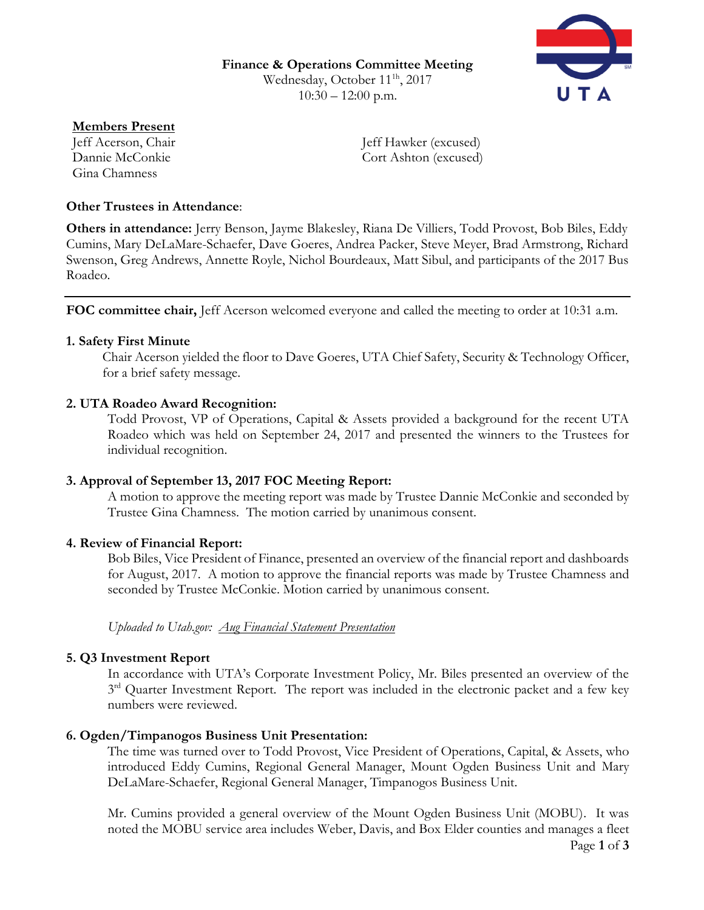**Finance & Operations Committee Meeting** Wednesday, October 11<sup>1h</sup>, 2017  $10:30 - 12:00$  p.m.



**Members Present** Gina Chamness

Jeff Acerson, Chair Jeff Hawker (excused) Dannie McConkie Cort Ashton (excused)

### **Other Trustees in Attendance**:

**Others in attendance:** Jerry Benson, Jayme Blakesley, Riana De Villiers, Todd Provost, Bob Biles, Eddy Cumins, Mary DeLaMare-Schaefer, Dave Goeres, Andrea Packer, Steve Meyer, Brad Armstrong, Richard Swenson, Greg Andrews, Annette Royle, Nichol Bourdeaux, Matt Sibul, and participants of the 2017 Bus Roadeo.

**FOC committee chair,** Jeff Acerson welcomed everyone and called the meeting to order at 10:31 a.m.

#### **1. Safety First Minute**

Chair Acerson yielded the floor to Dave Goeres, UTA Chief Safety, Security & Technology Officer, for a brief safety message.

### **2. UTA Roadeo Award Recognition:**

Todd Provost, VP of Operations, Capital & Assets provided a background for the recent UTA Roadeo which was held on September 24, 2017 and presented the winners to the Trustees for individual recognition.

# **3. Approval of September 13, 2017 FOC Meeting Report:**

A motion to approve the meeting report was made by Trustee Dannie McConkie and seconded by Trustee Gina Chamness. The motion carried by unanimous consent.

# **4. Review of Financial Report:**

Bob Biles, Vice President of Finance, presented an overview of the financial report and dashboards for August, 2017. A motion to approve the financial reports was made by Trustee Chamness and seconded by Trustee McConkie. Motion carried by unanimous consent.

# *Uploaded to Utah.gov: Aug Financial Statement Presentation*

#### **5. Q3 Investment Report**

In accordance with UTA's Corporate Investment Policy, Mr. Biles presented an overview of the 3<sup>rd</sup> Quarter Investment Report. The report was included in the electronic packet and a few key numbers were reviewed.

# **6. Ogden/Timpanogos Business Unit Presentation:**

The time was turned over to Todd Provost, Vice President of Operations, Capital, & Assets, who introduced Eddy Cumins, Regional General Manager, Mount Ogden Business Unit and Mary DeLaMare-Schaefer, Regional General Manager, Timpanogos Business Unit.

Page **1** of **3** Mr. Cumins provided a general overview of the Mount Ogden Business Unit (MOBU). It was noted the MOBU service area includes Weber, Davis, and Box Elder counties and manages a fleet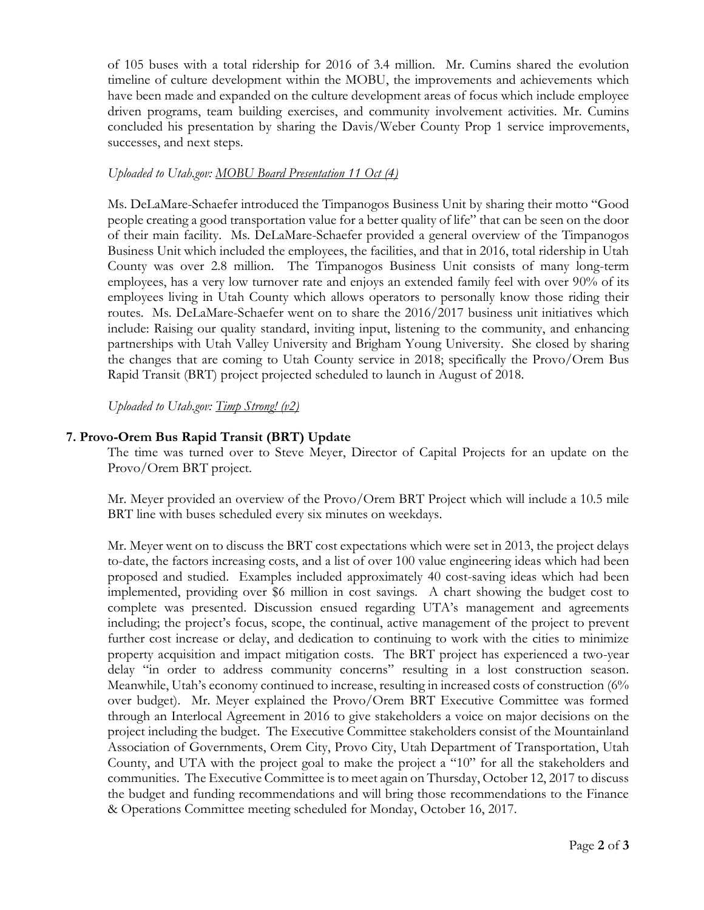of 105 buses with a total ridership for 2016 of 3.4 million. Mr. Cumins shared the evolution timeline of culture development within the MOBU, the improvements and achievements which have been made and expanded on the culture development areas of focus which include employee driven programs, team building exercises, and community involvement activities. Mr. Cumins concluded his presentation by sharing the Davis/Weber County Prop 1 service improvements, successes, and next steps.

#### *Uploaded to Utah.gov: MOBU Board Presentation 11 Oct (4)*

Ms. DeLaMare-Schaefer introduced the Timpanogos Business Unit by sharing their motto "Good people creating a good transportation value for a better quality of life" that can be seen on the door of their main facility. Ms. DeLaMare-Schaefer provided a general overview of the Timpanogos Business Unit which included the employees, the facilities, and that in 2016, total ridership in Utah County was over 2.8 million. The Timpanogos Business Unit consists of many long-term employees, has a very low turnover rate and enjoys an extended family feel with over 90% of its employees living in Utah County which allows operators to personally know those riding their routes. Ms. DeLaMare-Schaefer went on to share the 2016/2017 business unit initiatives which include: Raising our quality standard, inviting input, listening to the community, and enhancing partnerships with Utah Valley University and Brigham Young University. She closed by sharing the changes that are coming to Utah County service in 2018; specifically the Provo/Orem Bus Rapid Transit (BRT) project projected scheduled to launch in August of 2018.

*Uploaded to Utah.gov: Timp Strong! (v2)*

### **7. Provo-Orem Bus Rapid Transit (BRT) Update**

The time was turned over to Steve Meyer, Director of Capital Projects for an update on the Provo/Orem BRT project.

Mr. Meyer provided an overview of the Provo/Orem BRT Project which will include a 10.5 mile BRT line with buses scheduled every six minutes on weekdays.

Mr. Meyer went on to discuss the BRT cost expectations which were set in 2013, the project delays to-date, the factors increasing costs, and a list of over 100 value engineering ideas which had been proposed and studied. Examples included approximately 40 cost-saving ideas which had been implemented, providing over \$6 million in cost savings. A chart showing the budget cost to complete was presented. Discussion ensued regarding UTA's management and agreements including; the project's focus, scope, the continual, active management of the project to prevent further cost increase or delay, and dedication to continuing to work with the cities to minimize property acquisition and impact mitigation costs. The BRT project has experienced a two-year delay "in order to address community concerns" resulting in a lost construction season. Meanwhile, Utah's economy continued to increase, resulting in increased costs of construction (6% over budget). Mr. Meyer explained the Provo/Orem BRT Executive Committee was formed through an Interlocal Agreement in 2016 to give stakeholders a voice on major decisions on the project including the budget. The Executive Committee stakeholders consist of the Mountainland Association of Governments, Orem City, Provo City, Utah Department of Transportation, Utah County, and UTA with the project goal to make the project a "10" for all the stakeholders and communities. The Executive Committee is to meet again on Thursday, October 12, 2017 to discuss the budget and funding recommendations and will bring those recommendations to the Finance & Operations Committee meeting scheduled for Monday, October 16, 2017.